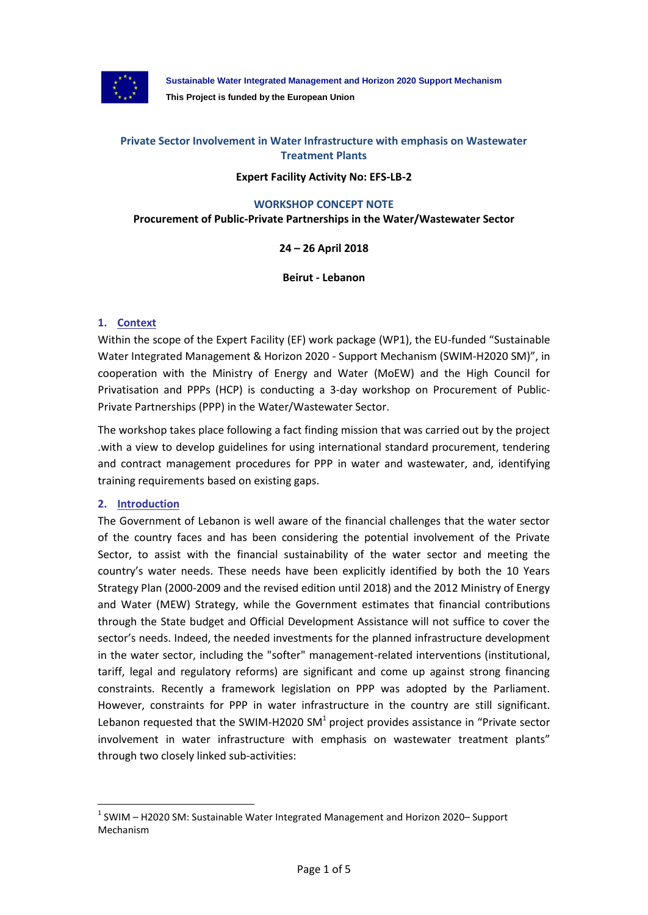

**Sustainable Water Integrated Management and Horizon 2020 Support Mechanism This Project is funded by the European Union**

## **Private Sector Involvement in Water Infrastructure with emphasis on Wastewater Treatment Plants**

### **Expert Facility Activity No: EFS-LB-2**

#### **WORKSHOP CONCEPT NOTE**

#### **Procurement of Public-Private Partnerships in the Water/Wastewater Sector**

## **24 – 26 April 2018**

**Beirut - Lebanon**

## **1. Context**

Within the scope of the Expert Facility (EF) work package (WP1), the EU-funded "Sustainable Water Integrated Management & Horizon 2020 - Support Mechanism (SWIM-H2020 SM)", in cooperation with the Ministry of Energy and Water (MoEW) and the High Council for Privatisation and PPPs (HCP) is conducting a 3-day workshop on Procurement of Public-Private Partnerships (PPP) in the Water/Wastewater Sector.

The workshop takes place following a fact finding mission that was carried out by the project .with a view to develop guidelines for using international standard procurement, tendering and contract management procedures for PPP in water and wastewater, and, identifying training requirements based on existing gaps.

#### **2. Introduction**

l

The Government of Lebanon is well aware of the financial challenges that the water sector of the country faces and has been considering the potential involvement of the Private Sector, to assist with the financial sustainability of the water sector and meeting the country's water needs. These needs have been explicitly identified by both the 10 Years Strategy Plan (2000-2009 and the revised edition until 2018) and the 2012 Ministry of Energy and Water (MEW) Strategy, while the Government estimates that financial contributions through the State budget and Official Development Assistance will not suffice to cover the sector's needs. Indeed, the needed investments for the planned infrastructure development in the water sector, including the "softer" management-related interventions (institutional, tariff, legal and regulatory reforms) are significant and come up against strong financing constraints. Recently a framework legislation on PPP was adopted by the Parliament. However, constraints for PPP in water infrastructure in the country are still significant. Lebanon requested that the SWIM-H2020 SM<sup>1</sup> project provides assistance in "Private sector involvement in water infrastructure with emphasis on wastewater treatment plants" through two closely linked sub-activities:

 $<sup>1</sup>$  SWIM – H2020 SM: Sustainable Water Integrated Management and Horizon 2020– Support</sup> Mechanism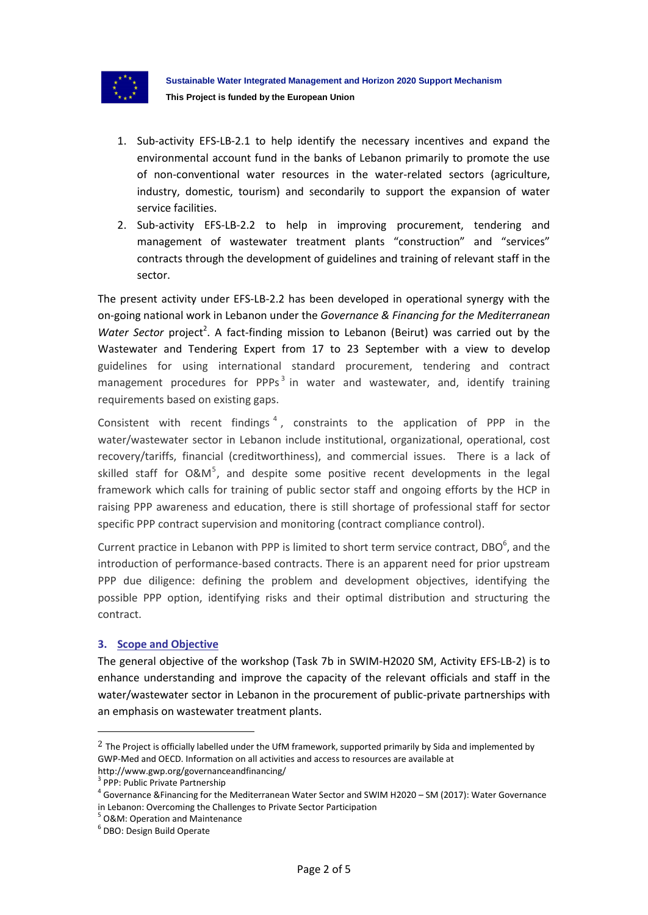

- 1. Sub-activity EFS-LB-2.1 to help identify the necessary incentives and expand the environmental account fund in the banks of Lebanon primarily to promote the use of non-conventional water resources in the water-related sectors (agriculture, industry, domestic, tourism) and secondarily to support the expansion of water service facilities.
- 2. Sub-activity EFS-LB-2.2 to help in improving procurement, tendering and management of wastewater treatment plants "construction" and "services" contracts through the development of guidelines and training of relevant staff in the sector.

The present activity under EFS-LB-2.2 has been developed in operational synergy with the on-going national work in Lebanon under the *Governance & Financing for the Mediterranean*  Water Sector project<sup>2</sup>. A fact-finding mission to Lebanon (Beirut) was carried out by the Wastewater and Tendering Expert from 17 to 23 September with a view to develop guidelines for using international standard procurement, tendering and contract management procedures for PPPs<sup>3</sup> in water and wastewater, and, identify training requirements based on existing gaps.

Consistent with recent findings<sup>4</sup>, constraints to the application of PPP in the water/wastewater sector in Lebanon include institutional, organizational, operational, cost recovery/tariffs, financial (creditworthiness), and commercial issues. There is a lack of skilled staff for O&M<sup>5</sup>, and despite some positive recent developments in the legal framework which calls for training of public sector staff and ongoing efforts by the HCP in raising PPP awareness and education, there is still shortage of professional staff for sector specific PPP contract supervision and monitoring (contract compliance control).

Current practice in Lebanon with PPP is limited to short term service contract, DBO $^6$ , and the introduction of performance-based contracts. There is an apparent need for prior upstream PPP due diligence: defining the problem and development objectives, identifying the possible PPP option, identifying risks and their optimal distribution and structuring the contract.

#### **3. Scope and Objective**

The general objective of the workshop (Task 7b in SWIM-H2020 SM, Activity EFS-LB-2) is to enhance understanding and improve the capacity of the relevant officials and staff in the water/wastewater sector in Lebanon in the procurement of public-private partnerships with an emphasis on wastewater treatment plants.

 $\overline{\phantom{a}}$ 

 $2$  The Project is officially labelled under the UfM framework, supported primarily by Sida and implemented by GWP-Med and OECD. Information on all activities and access to resources are available at http://www.gwp.org/governanceandfinancing/

<sup>&</sup>lt;sup>3</sup> PPP: Public Private Partnership

<sup>&</sup>lt;sup>4</sup> Governance &Financing for the Mediterranean Water Sector and SWIM H2020 – SM (2017): Water Governance in Lebanon: Overcoming the Challenges to Private Sector Participation

<sup>5</sup> O&M: Operation and Maintenance

<sup>6</sup> DBO: Design Build Operate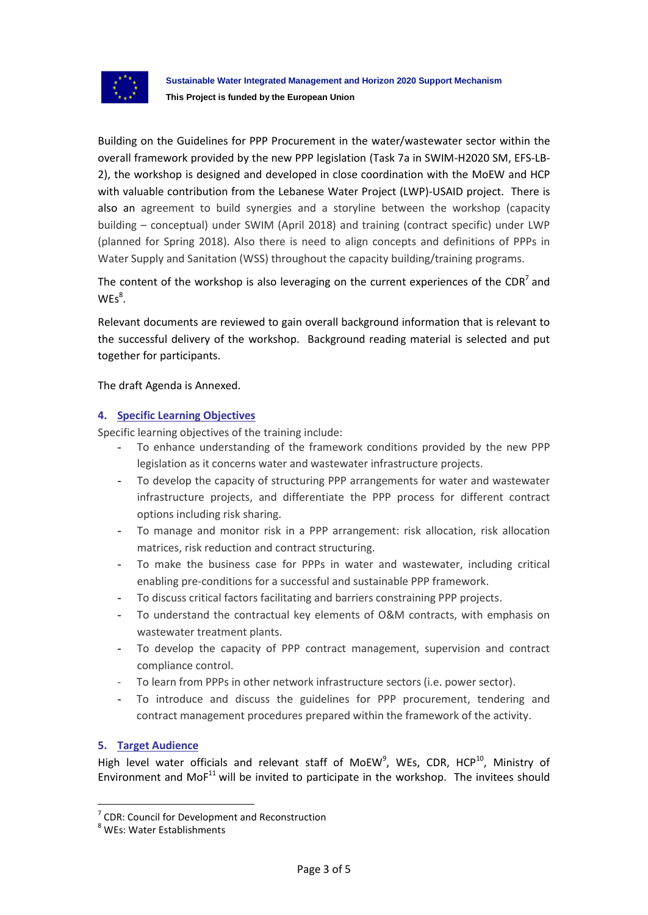

Building on the Guidelines for PPP Procurement in the water/wastewater sector within the overall framework provided by the new PPP legislation (Task 7a in SWIM-H2020 SM, EFS-LB-2), the workshop is designed and developed in close coordination with the MoEW and HCP with valuable contribution from the Lebanese Water Project (LWP)-USAID project. There is also an agreement to build synergies and a storyline between the workshop (capacity building – conceptual) under SWIM (April 2018) and training (contract specific) under LWP (planned for Spring 2018). Also there is need to align concepts and definitions of PPPs in Water Supply and Sanitation (WSS) throughout the capacity building/training programs.

The content of the workshop is also leveraging on the current experiences of the CDR<sup>7</sup> and  $WES<sup>8</sup>$ .

Relevant documents are reviewed to gain overall background information that is relevant to the successful delivery of the workshop. Background reading material is selected and put together for participants.

The draft Agenda is Annexed.

## **4. Specific Learning Objectives**

Specific learning objectives of the training include:

- To enhance understanding of the framework conditions provided by the new PPP legislation as it concerns water and wastewater infrastructure projects.
- To develop the capacity of structuring PPP arrangements for water and wastewater infrastructure projects, and differentiate the PPP process for different contract options including risk sharing.
- To manage and monitor risk in a PPP arrangement: risk allocation, risk allocation matrices, risk reduction and contract structuring.
- To make the business case for PPPs in water and wastewater, including critical enabling pre-conditions for a successful and sustainable PPP framework.
- To discuss critical factors facilitating and barriers constraining PPP projects.
- To understand the contractual key elements of O&M contracts, with emphasis on wastewater treatment plants.
- To develop the capacity of PPP contract management, supervision and contract compliance control.
- To learn from PPPs in other network infrastructure sectors (i.e. power sector).
- To introduce and discuss the guidelines for PPP procurement, tendering and contract management procedures prepared within the framework of the activity.

## **5. Target Audience**

l

High level water officials and relevant staff of MoEW<sup>9</sup>, WEs, CDR, HCP<sup>10</sup>, Ministry of Environment and Mo $F^{11}$  will be invited to participate in the workshop. The invitees should

 $7$  CDR: Council for Development and Reconstruction

<sup>8</sup> WEs: Water Establishments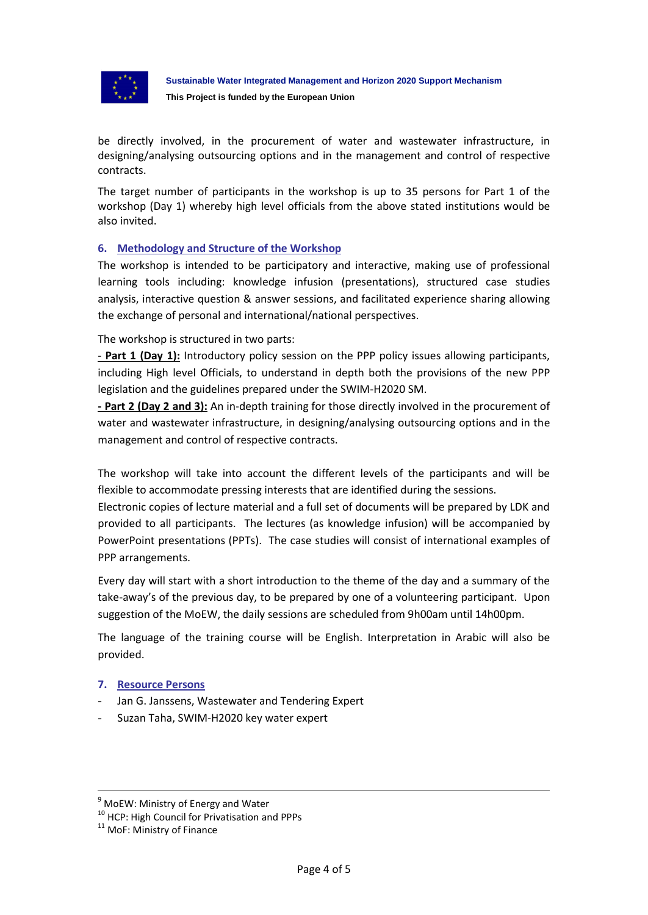

be directly involved, in the procurement of water and wastewater infrastructure, in designing/analysing outsourcing options and in the management and control of respective contracts.

The target number of participants in the workshop is up to 35 persons for Part 1 of the workshop (Day 1) whereby high level officials from the above stated institutions would be also invited.

## **6. Methodology and Structure of the Workshop**

The workshop is intended to be participatory and interactive, making use of professional learning tools including: knowledge infusion (presentations), structured case studies analysis, interactive question & answer sessions, and facilitated experience sharing allowing the exchange of personal and international/national perspectives.

The workshop is structured in two parts:

- **Part 1 (Day 1):** Introductory policy session on the PPP policy issues allowing participants, including High level Officials, to understand in depth both the provisions of the new PPP legislation and the guidelines prepared under the SWIM-H2020 SM.

**- Part 2 (Day 2 and 3):** An in-depth training for those directly involved in the procurement of water and wastewater infrastructure, in designing/analysing outsourcing options and in the management and control of respective contracts.

The workshop will take into account the different levels of the participants and will be flexible to accommodate pressing interests that are identified during the sessions.

Electronic copies of lecture material and a full set of documents will be prepared by LDK and provided to all participants. The lectures (as knowledge infusion) will be accompanied by PowerPoint presentations (PPTs). The case studies will consist of international examples of PPP arrangements.

Every day will start with a short introduction to the theme of the day and a summary of the take-away's of the previous day, to be prepared by one of a volunteering participant. Upon suggestion of the MoEW, the daily sessions are scheduled from 9h00am until 14h00pm.

The language of the training course will be English. Interpretation in Arabic will also be provided.

#### **7. Resource Persons**

- Jan G. Janssens, Wastewater and Tendering Expert
- Suzan Taha, SWIM-H2020 key water expert

<u>.</u>

 $9$  MoEW: Ministry of Energy and Water

<sup>&</sup>lt;sup>10</sup> HCP: High Council for Privatisation and PPPs

<sup>&</sup>lt;sup>11</sup> MoF: Ministry of Finance